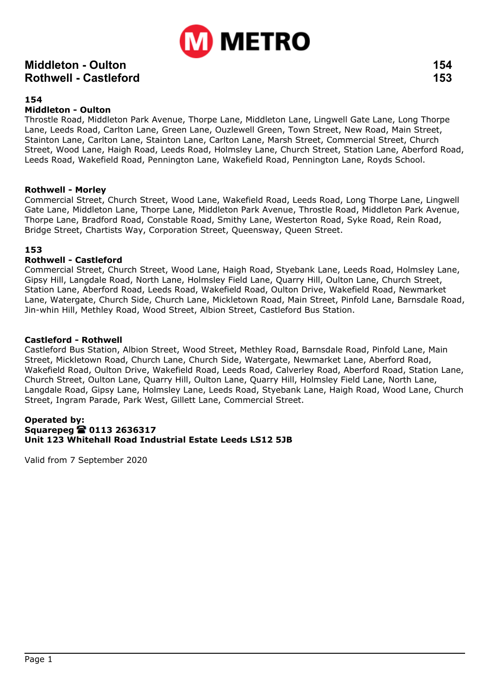

### **Middleton - Oulton 154 Rothwell - Castleford 153**

#### **154**

#### **Middleton - Oulton**

Throstle Road, Middleton Park Avenue, Thorpe Lane, Middleton Lane, Lingwell Gate Lane, Long Thorpe Lane, Leeds Road, Carlton Lane, Green Lane, Ouzlewell Green, Town Street, New Road, Main Street, Stainton Lane, Carlton Lane, Stainton Lane, Carlton Lane, Marsh Street, Commercial Street, Church Street, Wood Lane, Haigh Road, Leeds Road, Holmsley Lane, Church Street, Station Lane, Aberford Road, Leeds Road, Wakefield Road, Pennington Lane, Wakefield Road, Pennington Lane, Royds School.

#### **Rothwell - Morley**

Commercial Street, Church Street, Wood Lane, Wakefield Road, Leeds Road, Long Thorpe Lane, Lingwell Gate Lane, Middleton Lane, Thorpe Lane, Middleton Park Avenue, Throstle Road, Middleton Park Avenue, Thorpe Lane, Bradford Road, Constable Road, Smithy Lane, Westerton Road, Syke Road, Rein Road, Bridge Street, Chartists Way, Corporation Street, Queensway, Queen Street.

#### **153**

#### **Rothwell - Castleford**

Commercial Street, Church Street, Wood Lane, Haigh Road, Styebank Lane, Leeds Road, Holmsley Lane, Gipsy Hill, Langdale Road, North Lane, Holmsley Field Lane, Quarry Hill, Oulton Lane, Church Street, Station Lane, Aberford Road, Leeds Road, Wakefield Road, Oulton Drive, Wakefield Road, Newmarket Lane, Watergate, Church Side, Church Lane, Mickletown Road, Main Street, Pinfold Lane, Barnsdale Road, Jin-whin Hill, Methley Road, Wood Street, Albion Street, Castleford Bus Station.

#### **Castleford - Rothwell**

Castleford Bus Station, Albion Street, Wood Street, Methley Road, Barnsdale Road, Pinfold Lane, Main Street, Mickletown Road, Church Lane, Church Side, Watergate, Newmarket Lane, Aberford Road, Wakefield Road, Oulton Drive, Wakefield Road, Leeds Road, Calverley Road, Aberford Road, Station Lane, Church Street, Oulton Lane, Quarry Hill, Oulton Lane, Quarry Hill, Holmsley Field Lane, North Lane, Langdale Road, Gipsy Lane, Holmsley Lane, Leeds Road, Styebank Lane, Haigh Road, Wood Lane, Church Street, Ingram Parade, Park West, Gillett Lane, Commercial Street.

#### **Operated by: Squarepeg 0113 2636317 Unit 123 Whitehall Road Industrial Estate Leeds LS12 5JB**

Valid from 7 September 2020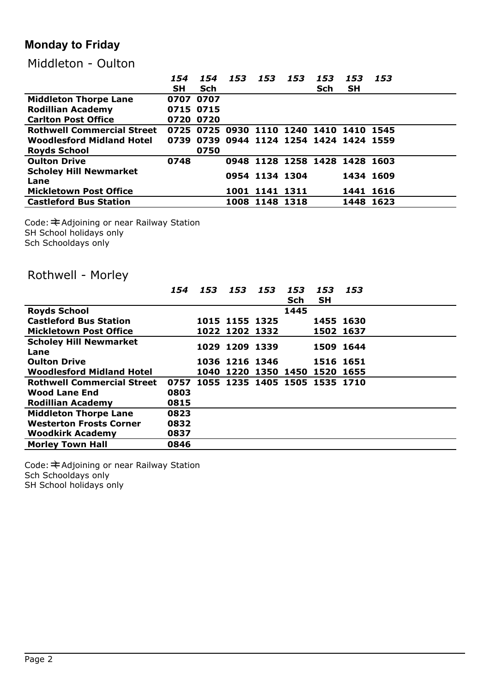# **Monday to Friday**

### Middleton - Oulton

|                                   | 154       | 154                                     | 153 | 153                           | 153 | 153 | 153       | 153 |
|-----------------------------------|-----------|-----------------------------------------|-----|-------------------------------|-----|-----|-----------|-----|
|                                   | <b>SH</b> | Sch                                     |     |                               |     | Sch | <b>SH</b> |     |
| <b>Middleton Thorpe Lane</b>      | 0707      | 0707                                    |     |                               |     |     |           |     |
| <b>Rodillian Academy</b>          | 0715 0715 |                                         |     |                               |     |     |           |     |
| <b>Carlton Post Office</b>        | 0720 0720 |                                         |     |                               |     |     |           |     |
| <b>Rothwell Commercial Street</b> |           | 0725 0725                               |     | 0930 1110 1240 1410 1410 1545 |     |     |           |     |
| Woodlesford Midland Hotel         |           | 0739 0739 0944 1124 1254 1424 1424 1559 |     |                               |     |     |           |     |
| <b>Royds School</b>               |           | 0750                                    |     |                               |     |     |           |     |
| <b>Oulton Drive</b>               | 0748      |                                         |     | 0948 1128 1258 1428 1428 1603 |     |     |           |     |
| <b>Scholey Hill Newmarket</b>     |           |                                         |     | 0954 1134 1304                |     |     | 1434 1609 |     |
| Lane                              |           |                                         |     |                               |     |     |           |     |
| <b>Mickletown Post Office</b>     |           |                                         |     | 1001 1141 1311                |     |     | 1441 1616 |     |
| <b>Castleford Bus Station</b>     |           |                                         |     | 1008 1148 1318                |     |     | 1448 1623 |     |

Code: ≢Adjoining or near Railway Station SH School holidays only Sch Schooldays only

# Rothwell - Morley

|                                   | 154  | 153                                | 153            | 153                 | 153  | 153       | 153 |
|-----------------------------------|------|------------------------------------|----------------|---------------------|------|-----------|-----|
|                                   |      |                                    |                |                     | Sch  | <b>SH</b> |     |
| <b>Royds School</b>               |      |                                    |                |                     | 1445 |           |     |
| <b>Castleford Bus Station</b>     |      |                                    | 1015 1155 1325 |                     |      | 1455 1630 |     |
| <b>Mickletown Post Office</b>     |      |                                    | 1022 1202 1332 |                     |      | 1502 1637 |     |
| <b>Scholey Hill Newmarket</b>     |      |                                    | 1029 1209 1339 |                     |      | 1509 1644 |     |
| Lane                              |      |                                    |                |                     |      |           |     |
| <b>Oulton Drive</b>               |      |                                    | 1036 1216 1346 |                     |      | 1516 1651 |     |
| <b>Woodlesford Midland Hotel</b>  |      |                                    |                | 1040 1220 1350 1450 |      | 1520 1655 |     |
| <b>Rothwell Commercial Street</b> |      | 0757 1055 1235 1405 1505 1535 1710 |                |                     |      |           |     |
| <b>Wood Lane End</b>              | 0803 |                                    |                |                     |      |           |     |
| <b>Rodillian Academy</b>          | 0815 |                                    |                |                     |      |           |     |
| <b>Middleton Thorpe Lane</b>      | 0823 |                                    |                |                     |      |           |     |
| <b>Westerton Frosts Corner</b>    | 0832 |                                    |                |                     |      |           |     |
| <b>Woodkirk Academy</b>           | 0837 |                                    |                |                     |      |           |     |
| <b>Morley Town Hall</b>           | 0846 |                                    |                |                     |      |           |     |

Code: ≢Adjoining or near Railway Station Sch Schooldays only SH School holidays only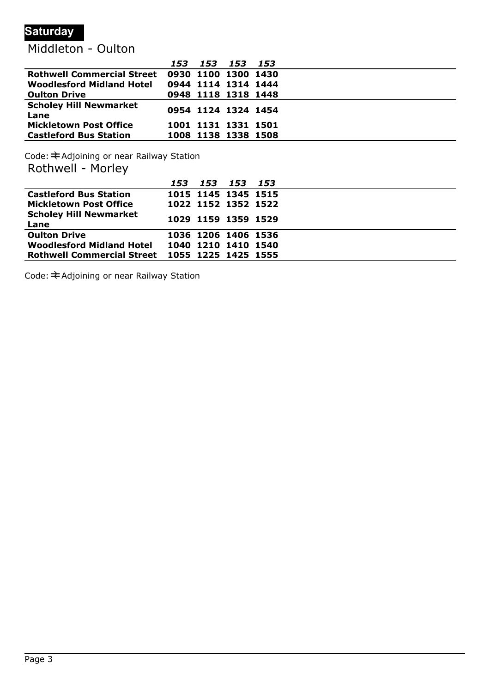### **Saturday**

## Middleton - Oulton

|                                       | 153 | 153 153 153         |  |  |
|---------------------------------------|-----|---------------------|--|--|
| <b>Rothwell Commercial Street</b>     |     | 0930 1100 1300 1430 |  |  |
| <b>Woodlesford Midland Hotel</b>      |     | 0944 1114 1314 1444 |  |  |
| <b>Oulton Drive</b>                   |     | 0948 1118 1318 1448 |  |  |
| <b>Scholey Hill Newmarket</b><br>Lane |     | 0954 1124 1324 1454 |  |  |
| <b>Mickletown Post Office</b>         |     | 1001 1131 1331 1501 |  |  |
| <b>Castleford Bus Station</b>         |     | 1008 1138 1338 1508 |  |  |

Code:  $\pm$  Adjoining or near Railway Station Rothwell - Morley

|                                                | 153 |                     | 153 153 153 |  |
|------------------------------------------------|-----|---------------------|-------------|--|
| <b>Castleford Bus Station</b>                  |     | 1015 1145 1345 1515 |             |  |
| <b>Mickletown Post Office</b>                  |     | 1022 1152 1352 1522 |             |  |
| <b>Scholey Hill Newmarket</b><br>Lane          |     | 1029 1159 1359 1529 |             |  |
| <b>Oulton Drive</b>                            |     | 1036 1206 1406 1536 |             |  |
| <b>Woodlesford Midland Hotel</b>               |     | 1040 1210 1410 1540 |             |  |
| Rothwell Commercial Street 1055 1225 1425 1555 |     |                     |             |  |

Code:  $\bigstar$  Adjoining or near Railway Station